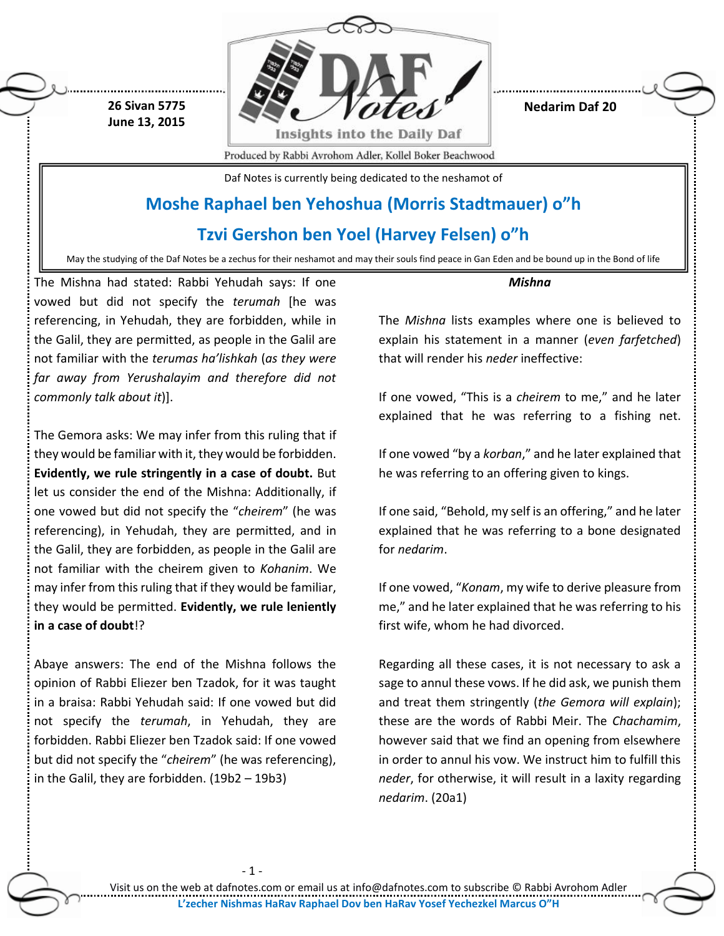

**Nedarim Daf 20**

Produced by Rabbi Avrohom Adler, Kollel Boker Beachwood

Daf Notes is currently being dedicated to the neshamot of

## **Moshe Raphael ben Yehoshua (Morris Stadtmauer) o"h**

### **Tzvi Gershon ben Yoel (Harvey Felsen) o"h**

May the studying of the Daf Notes be a zechus for their neshamot and may their souls find peace in Gan Eden and be bound up in the Bond of life

The Mishna had stated: Rabbi Yehudah says: If one vowed but did not specify the *terumah* [he was referencing, in Yehudah, they are forbidden, while in the Galil, they are permitted, as people in the Galil are not familiar with the *terumas ha'lishkah* (*as they were far away from Yerushalayim and therefore did not commonly talk about it*)].

**26 Sivan 5775 June 13, 2015**

The Gemora asks: We may infer from this ruling that if they would be familiar with it, they would be forbidden. **Evidently, we rule stringently in a case of doubt.** But let us consider the end of the Mishna: Additionally, if one vowed but did not specify the "*cheirem*" (he was referencing), in Yehudah, they are permitted, and in the Galil, they are forbidden, as people in the Galil are not familiar with the cheirem given to *Kohanim*. We may infer from this ruling that if they would be familiar, they would be permitted. **Evidently, we rule leniently in a case of doubt**!?

Abaye answers: The end of the Mishna follows the opinion of Rabbi Eliezer ben Tzadok, for it was taught in a braisa: Rabbi Yehudah said: If one vowed but did not specify the *terumah*, in Yehudah, they are forbidden. Rabbi Eliezer ben Tzadok said: If one vowed but did not specify the "*cheirem*" (he was referencing), in the Galil, they are forbidden. (19b2 – 19b3)

- 1 -

*Mishna*

The *Mishna* lists examples where one is believed to explain his statement in a manner (*even farfetched*) that will render his *neder* ineffective:

If one vowed, "This is a *cheirem* to me," and he later explained that he was referring to a fishing net.

If one vowed "by a *korban*," and he later explained that he was referring to an offering given to kings.

If one said, "Behold, my self is an offering," and he later explained that he was referring to a bone designated for *nedarim*.

If one vowed, "*Konam*, my wife to derive pleasure from me," and he later explained that he was referring to his first wife, whom he had divorced.

Regarding all these cases, it is not necessary to ask a sage to annul these vows. If he did ask, we punish them and treat them stringently (*the Gemora will explain*); these are the words of Rabbi Meir. The *Chachamim*, however said that we find an opening from elsewhere in order to annul his vow. We instruct him to fulfill this *neder*, for otherwise, it will result in a laxity regarding *nedarim*. (20a1)

Visit us on the web at dafnotes.com or email us at [info@dafnotes.com](mailto:info@dafnotes.com) to subscribe © Rabbi Avrohom Adler **L'zecher Nishmas HaRav Raphael Dov ben HaRav Yosef Yechezkel Marcus O"H**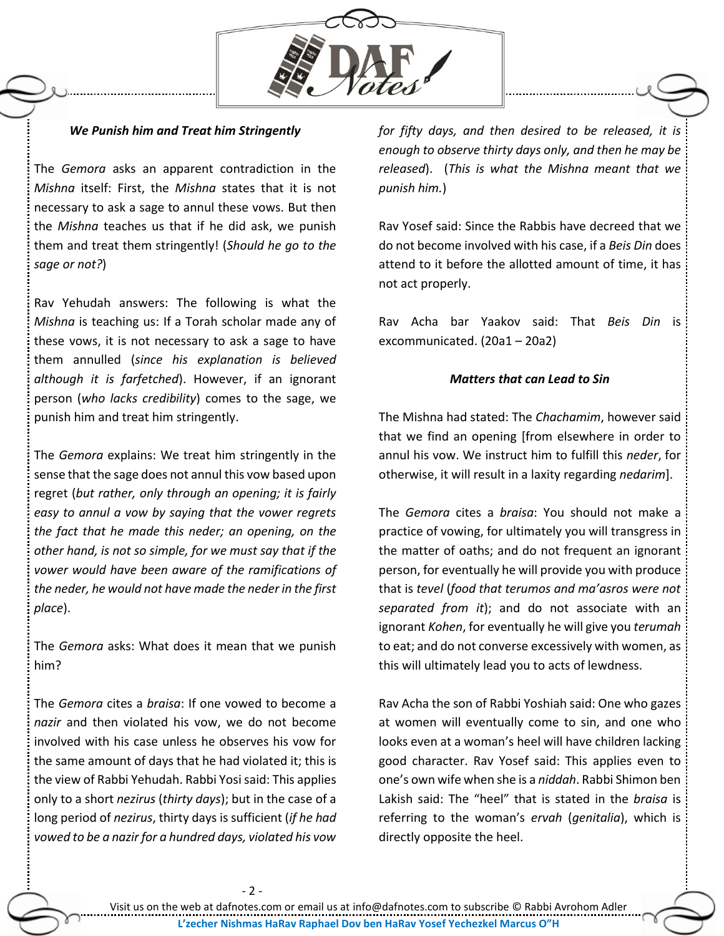

### *We Punish him and Treat him Stringently*

The *Gemora* asks an apparent contradiction in the *Mishna* itself: First, the *Mishna* states that it is not necessary to ask a sage to annul these vows. But then the *Mishna* teaches us that if he did ask, we punish them and treat them stringently! (*Should he go to the sage or not?*)

Rav Yehudah answers: The following is what the *Mishna* is teaching us: If a Torah scholar made any of these vows, it is not necessary to ask a sage to have them annulled (*since his explanation is believed although it is farfetched*). However, if an ignorant person (*who lacks credibility*) comes to the sage, we punish him and treat him stringently.

The *Gemora* explains: We treat him stringently in the sense that the sage does not annul this vow based upon regret (*but rather, only through an opening; it is fairly easy to annul a vow by saying that the vower regrets the fact that he made this neder; an opening, on the other hand, is not so simple, for we must say that if the vower would have been aware of the ramifications of the neder, he would not have made the neder in the first place*).

The *Gemora* asks: What does it mean that we punish him?

The *Gemora* cites a *braisa*: If one vowed to become a *nazir* and then violated his vow, we do not become involved with his case unless he observes his vow for the same amount of days that he had violated it; this is the view of Rabbi Yehudah. Rabbi Yosisaid: This applies only to a short *nezirus* (*thirty days*); but in the case of a long period of *nezirus*, thirty days is sufficient (*if he had vowed to be a nazir for a hundred days, violated his vow* 

*for fifty days, and then desired to be released, it is enough to observe thirty days only, and then he may be released*). (*This is what the Mishna meant that we punish him.*)

Rav Yosef said: Since the Rabbis have decreed that we do not become involved with his case, if a *Beis Din* does attend to it before the allotted amount of time, it has not act properly.

Rav Acha bar Yaakov said: That *Beis Din* is excommunicated. (20a1 – 20a2)

#### *Matters that can Lead to Sin*

The Mishna had stated: The *Chachamim*, however said that we find an opening [from elsewhere in order to annul his vow. We instruct him to fulfill this *neder*, for otherwise, it will result in a laxity regarding *nedarim*].

The *Gemora* cites a *braisa*: You should not make a practice of vowing, for ultimately you will transgress in the matter of oaths; and do not frequent an ignorant person, for eventually he will provide you with produce that is *tevel* (*food that terumos and ma'asros were not separated from it*); and do not associate with an ignorant *Kohen*, for eventually he will give you *terumah* to eat; and do not converse excessively with women, as this will ultimately lead you to acts of lewdness.

Rav Acha the son of Rabbi Yoshiah said: One who gazes at women will eventually come to sin, and one who looks even at a woman's heel will have children lacking good character. Rav Yosef said: This applies even to one's own wife when she is a *niddah*. Rabbi Shimon ben Lakish said: The "heel" that is stated in the *braisa* is referring to the woman's *ervah* (*genitalia*), which is directly opposite the heel.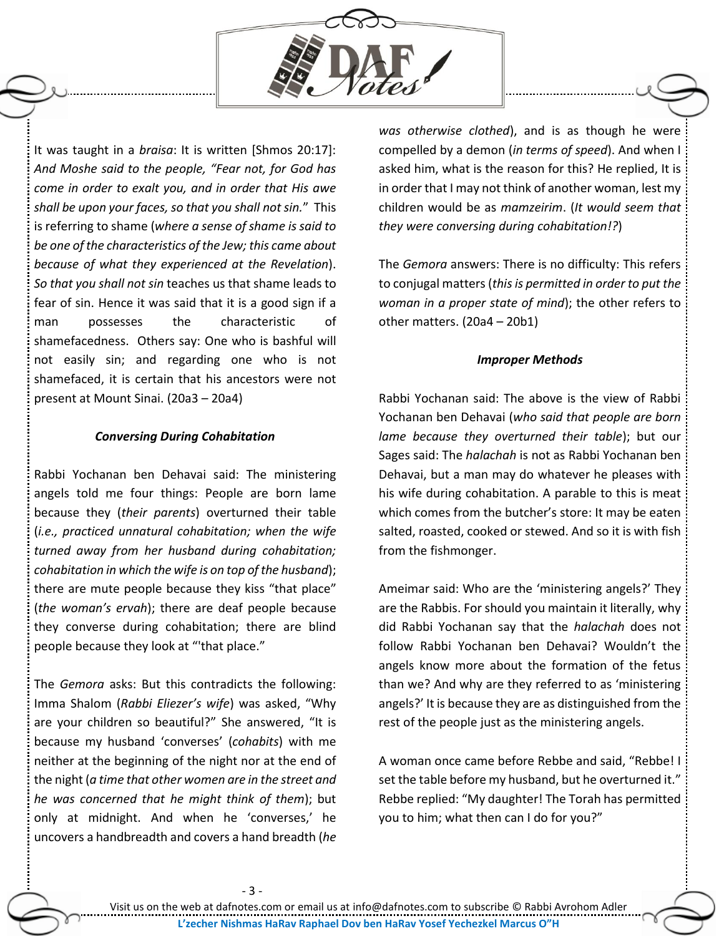

It was taught in a *braisa*: It is written [Shmos 20:17]: *And Moshe said to the people, "Fear not, for God has come in order to exalt you, and in order that His awe shall be upon your faces, so that you shall not sin.*" This is referring to shame (*where a sense of shame is said to be one of the characteristics of the Jew; this came about because of what they experienced at the Revelation*). *So that you shall not sin* teaches us that shame leads to fear of sin. Hence it was said that it is a good sign if a man possesses the characteristic of shamefacedness. Others say: One who is bashful will not easily sin; and regarding one who is not shamefaced, it is certain that his ancestors were not present at Mount Sinai. (20a3 – 20a4)

#### *Conversing During Cohabitation*

Rabbi Yochanan ben Dehavai said: The ministering angels told me four things: People are born lame because they (*their parents*) overturned their table (*i.e., practiced unnatural cohabitation; when the wife turned away from her husband during cohabitation; cohabitation in which the wife is on top of the husband*); there are mute people because they kiss "that place" (*the woman's ervah*); there are deaf people because they converse during cohabitation; there are blind people because they look at "'that place."

The *Gemora* asks: But this contradicts the following: Imma Shalom (*Rabbi Eliezer's wife*) was asked, "Why are your children so beautiful?" She answered, "It is because my husband 'converses' (*cohabits*) with me neither at the beginning of the night nor at the end of the night (*a time that other women are in the street and he was concerned that he might think of them*); but only at midnight. And when he 'converses,' he uncovers a handbreadth and covers a hand breadth (*he* 

*was otherwise clothed*), and is as though he were compelled by a demon (*in terms of speed*). And when I asked him, what is the reason for this? He replied, It is in order that I may not think of another woman, lest my children would be as *mamzeirim*. (*It would seem that they were conversing during cohabitation!?*)

The *Gemora* answers: There is no difficulty: This refers to conjugal matters(*this is permitted in order to put the woman in a proper state of mind*); the other refers to other matters. (20a4 – 20b1)

#### *Improper Methods*

Rabbi Yochanan said: The above is the view of Rabbi Yochanan ben Dehavai (*who said that people are born lame because they overturned their table*); but our Sages said: The *halachah* is not as Rabbi Yochanan ben Dehavai, but a man may do whatever he pleases with his wife during cohabitation. A parable to this is meat which comes from the butcher's store: It may be eaten salted, roasted, cooked or stewed. And so it is with fish from the fishmonger.

Ameimar said: Who are the 'ministering angels?' They are the Rabbis. For should you maintain it literally, why did Rabbi Yochanan say that the *halachah* does not follow Rabbi Yochanan ben Dehavai? Wouldn't the angels know more about the formation of the fetus than we? And why are they referred to as 'ministering angels?' It is because they are as distinguished from the rest of the people just as the ministering angels.

A woman once came before Rebbe and said, "Rebbe! I set the table before my husband, but he overturned it." Rebbe replied: "My daughter! The Torah has permitted you to him; what then can I do for you?"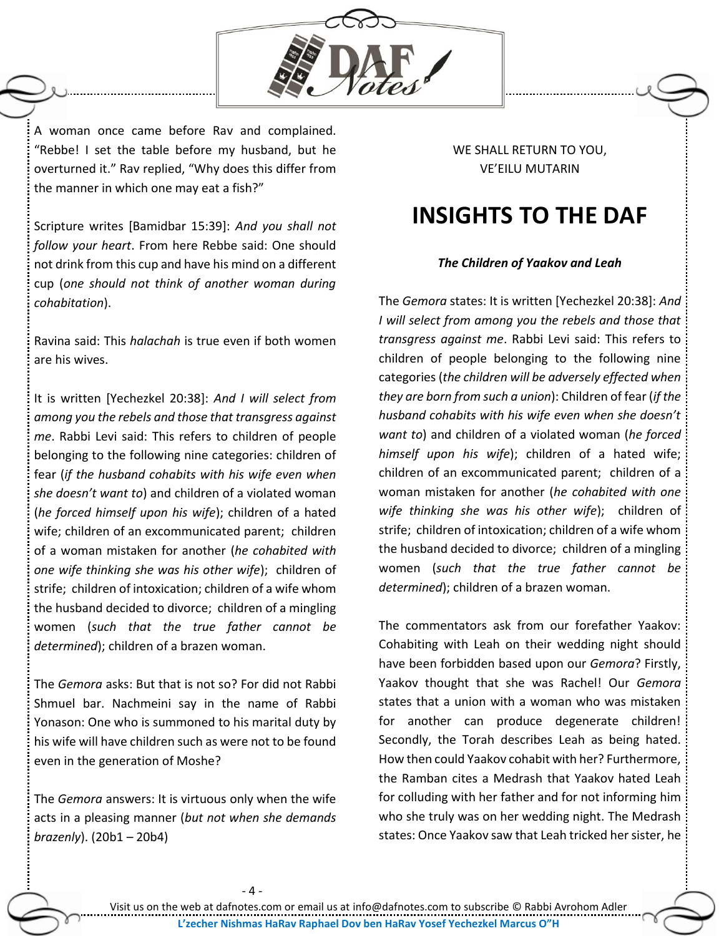

A woman once came before Rav and complained. "Rebbe! I set the table before my husband, but he overturned it." Rav replied, "Why does this differ from the manner in which one may eat a fish?"

Scripture writes [Bamidbar 15:39]: *And you shall not follow your heart*. From here Rebbe said: One should not drink from this cup and have his mind on a different cup (*one should not think of another woman during cohabitation*).

Ravina said: This *halachah* is true even if both women are his wives.

It is written [Yechezkel 20:38]: *And I will select from among you the rebels and those that transgress against me*. Rabbi Levi said: This refers to children of people belonging to the following nine categories: children of fear (*if the husband cohabits with his wife even when she doesn't want to*) and children of a violated woman (*he forced himself upon his wife*); children of a hated wife; children of an excommunicated parent; children of a woman mistaken for another (*he cohabited with one wife thinking she was his other wife*); children of strife; children of intoxication; children of a wife whom the husband decided to divorce; children of a mingling women (*such that the true father cannot be determined*); children of a brazen woman.

The *Gemora* asks: But that is not so? For did not Rabbi Shmuel bar. Nachmeini say in the name of Rabbi Yonason: One who is summoned to his marital duty by his wife will have children such as were not to be found even in the generation of Moshe?

The *Gemora* answers: It is virtuous only when the wife acts in a pleasing manner (*but not when she demands brazenly*). (20b1 – 20b4)

WE SHALL RETURN TO YOU, VE'EILU MUTARIN

# **INSIGHTS TO THE DAF**

### *The Children of Yaakov and Leah*

The *Gemora* states: It is written [Yechezkel 20:38]: *And I will select from among you the rebels and those that transgress against me*. Rabbi Levi said: This refers to children of people belonging to the following nine categories (*the children will be adversely effected when they are born from such a union*): Children of fear (*if the husband cohabits with his wife even when she doesn't want to*) and children of a violated woman (*he forced himself upon his wife*); children of a hated wife; children of an excommunicated parent; children of a woman mistaken for another (*he cohabited with one wife thinking she was his other wife*); children of strife; children of intoxication; children of a wife whom the husband decided to divorce; children of a mingling women (*such that the true father cannot be determined*); children of a brazen woman.

The commentators ask from our forefather Yaakov: Cohabiting with Leah on their wedding night should have been forbidden based upon our *Gemora*? Firstly, Yaakov thought that she was Rachel! Our *Gemora* states that a union with a woman who was mistaken for another can produce degenerate children! Secondly, the Torah describes Leah as being hated. How then could Yaakov cohabit with her? Furthermore, the Ramban cites a Medrash that Yaakov hated Leah for colluding with her father and for not informing him who she truly was on her wedding night. The Medrash states: Once Yaakov saw that Leah tricked her sister, he